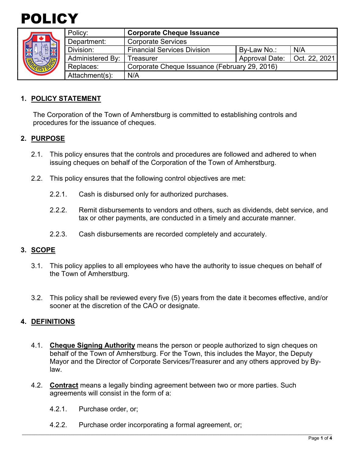



| Policy:                 | <b>Corporate Cheque Issuance</b>              |                       |               |
|-------------------------|-----------------------------------------------|-----------------------|---------------|
| Department:             | <b>Corporate Services</b>                     |                       |               |
| Division:               | <b>Financial Services Division</b>            | By-Law No.:           | N/A           |
| <b>Administered By:</b> | Treasurer                                     | <b>Approval Date:</b> | Oct. 22, 2021 |
| Replaces:               | Corporate Cheque Issuance (February 29, 2016) |                       |               |
| Attachment(s):          | N/A                                           |                       |               |

## **1. POLICY STATEMENT**

The Corporation of the Town of Amherstburg is committed to establishing controls and procedures for the issuance of cheques.

### **2. PURPOSE**

- 2.1. This policy ensures that the controls and procedures are followed and adhered to when issuing cheques on behalf of the Corporation of the Town of Amherstburg.
- 2.2. This policy ensures that the following control objectives are met:
	- 2.2.1. Cash is disbursed only for authorized purchases.
	- 2.2.2. Remit disbursements to vendors and others, such as dividends, debt service, and tax or other payments, are conducted in a timely and accurate manner.
	- 2.2.3. Cash disbursements are recorded completely and accurately.

### **3. SCOPE**

- 3.1. This policy applies to all employees who have the authority to issue cheques on behalf of the Town of Amherstburg.
- 3.2. This policy shall be reviewed every five (5) years from the date it becomes effective, and/or sooner at the discretion of the CAO or designate.

### **4. DEFINITIONS**

- 4.1. **Cheque Signing Authority** means the person or people authorized to sign cheques on behalf of the Town of Amherstburg. For the Town, this includes the Mayor, the Deputy Mayor and the Director of Corporate Services/Treasurer and any others approved by Bylaw.
- 4.2. **Contract** means a legally binding agreement between two or more parties. Such agreements will consist in the form of a:
	- 4.2.1. Purchase order, or;
	- 4.2.2. Purchase order incorporating a formal agreement, or;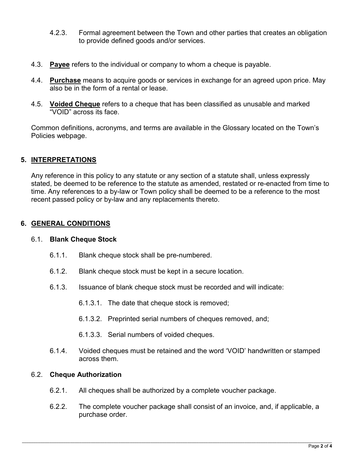- 4.2.3. Formal agreement between the Town and other parties that creates an obligation to provide defined goods and/or services.
- 4.3. **Payee** refers to the individual or company to whom a cheque is payable.
- 4.4. **Purchase** means to acquire goods or services in exchange for an agreed upon price. May also be in the form of a rental or lease.
- 4.5. **Voided Cheque** refers to a cheque that has been classified as unusable and marked "VOID" across its face.

Common definitions, acronyms, and terms are available in the Glossary located on the Town's Policies webpage.

# **5. INTERPRETATIONS**

Any reference in this policy to any statute or any section of a statute shall, unless expressly stated, be deemed to be reference to the statute as amended, restated or re-enacted from time to time. Any references to a by-law or Town policy shall be deemed to be a reference to the most recent passed policy or by-law and any replacements thereto.

## **6. GENERAL CONDITIONS**

### 6.1. **Blank Cheque Stock**

- 6.1.1. Blank cheque stock shall be pre-numbered.
- 6.1.2. Blank cheque stock must be kept in a secure location.
- 6.1.3. Issuance of blank cheque stock must be recorded and will indicate:
	- 6.1.3.1. The date that cheque stock is removed;
	- 6.1.3.2. Preprinted serial numbers of cheques removed, and;
	- 6.1.3.3. Serial numbers of voided cheques.
- 6.1.4. Voided cheques must be retained and the word 'VOID' handwritten or stamped across them.

### 6.2. **Cheque Authorization**

- 6.2.1. All cheques shall be authorized by a complete voucher package.
- 6.2.2. The complete voucher package shall consist of an invoice, and, if applicable, a purchase order.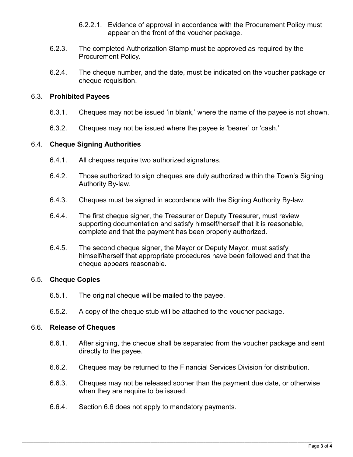- 6.2.2.1. Evidence of approval in accordance with the Procurement Policy must appear on the front of the voucher package.
- 6.2.3. The completed Authorization Stamp must be approved as required by the Procurement Policy.
- 6.2.4. The cheque number, and the date, must be indicated on the voucher package or cheque requisition.

#### 6.3. **Prohibited Payees**

- 6.3.1. Cheques may not be issued 'in blank,' where the name of the payee is not shown.
- 6.3.2. Cheques may not be issued where the payee is 'bearer' or 'cash.'

#### 6.4. **Cheque Signing Authorities**

- 6.4.1. All cheques require two authorized signatures.
- 6.4.2. Those authorized to sign cheques are duly authorized within the Town's Signing Authority By-law.
- 6.4.3. Cheques must be signed in accordance with the Signing Authority By-law.
- 6.4.4. The first cheque signer, the Treasurer or Deputy Treasurer, must review supporting documentation and satisfy himself/herself that it is reasonable, complete and that the payment has been properly authorized.
- 6.4.5. The second cheque signer, the Mayor or Deputy Mayor, must satisfy himself/herself that appropriate procedures have been followed and that the cheque appears reasonable.

#### 6.5. **Cheque Copies**

- 6.5.1. The original cheque will be mailed to the payee.
- 6.5.2. A copy of the cheque stub will be attached to the voucher package.

#### 6.6. **Release of Cheques**

- 6.6.1. After signing, the cheque shall be separated from the voucher package and sent directly to the payee.
- 6.6.2. Cheques may be returned to the Financial Services Division for distribution.
- 6.6.3. Cheques may not be released sooner than the payment due date, or otherwise when they are require to be issued.
- 6.6.4. Section 6.6 does not apply to mandatory payments.